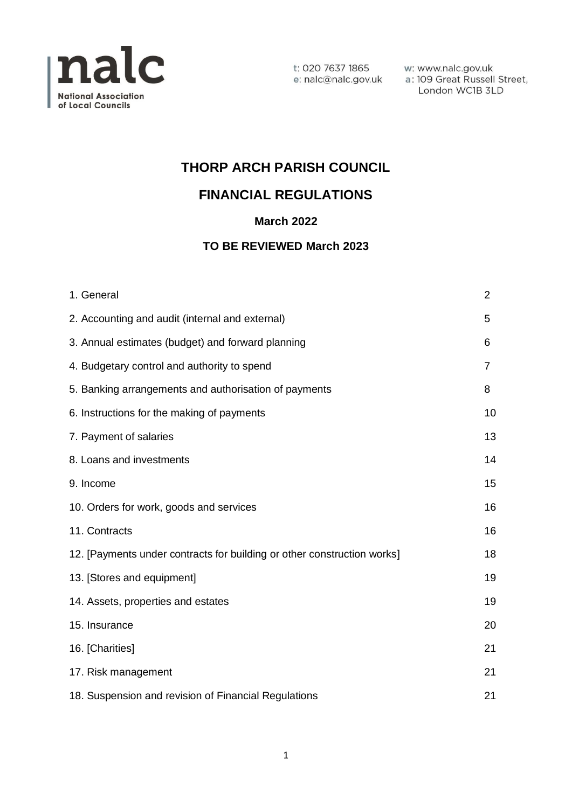

w: www.nalc.gov.uk a: 109 Great Russell Street, London WC1B 3LD

# **THORP ARCH PARISH COUNCIL**

# **FINANCIAL REGULATIONS**

## **March 2022**

## **TO BE REVIEWED March 2023**

| 1. General                                                              | $\overline{2}$ |
|-------------------------------------------------------------------------|----------------|
| 2. Accounting and audit (internal and external)                         | 5              |
| 3. Annual estimates (budget) and forward planning                       | 6              |
| 4. Budgetary control and authority to spend                             | 7              |
| 5. Banking arrangements and authorisation of payments                   | 8              |
| 6. Instructions for the making of payments                              | 10             |
| 7. Payment of salaries                                                  | 13             |
| 8. Loans and investments                                                | 14             |
| 9. Income                                                               | 15             |
| 10. Orders for work, goods and services                                 | 16             |
| 11. Contracts                                                           | 16             |
| 12. [Payments under contracts for building or other construction works] | 18             |
| 13. [Stores and equipment]                                              | 19             |
| 14. Assets, properties and estates                                      | 19             |
| 15. Insurance                                                           | 20             |
| 16. [Charities]                                                         | 21             |
| 17. Risk management                                                     | 21             |
| 18. Suspension and revision of Financial Regulations                    | 21             |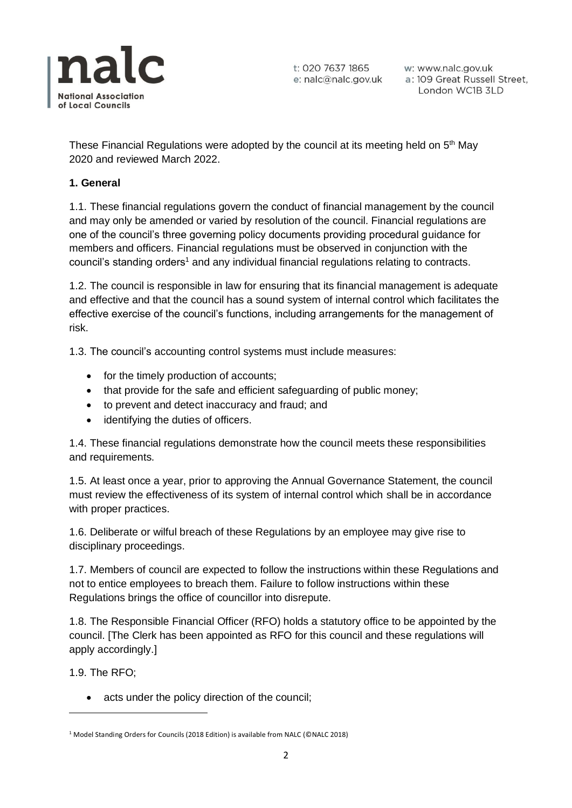

w: www.nalc.gov.uk a: 109 Great Russell Street, London WC1B 3LD

These Financial Regulations were adopted by the council at its meeting held on 5<sup>th</sup> May 2020 and reviewed March 2022.

### **1. General**

1.1. These financial regulations govern the conduct of financial management by the council and may only be amended or varied by resolution of the council. Financial regulations are one of the council's three governing policy documents providing procedural guidance for members and officers. Financial regulations must be observed in conjunction with the council's standing orders<sup>1</sup> and any individual financial regulations relating to contracts.

1.2. The council is responsible in law for ensuring that its financial management is adequate and effective and that the council has a sound system of internal control which facilitates the effective exercise of the council's functions, including arrangements for the management of risk.

1.3. The council's accounting control systems must include measures:

- for the timely production of accounts;
- that provide for the safe and efficient safeguarding of public money;
- to prevent and detect inaccuracy and fraud; and
- identifying the duties of officers.

1.4. These financial regulations demonstrate how the council meets these responsibilities and requirements.

1.5. At least once a year, prior to approving the Annual Governance Statement, the council must review the effectiveness of its system of internal control which shall be in accordance with proper practices.

1.6. Deliberate or wilful breach of these Regulations by an employee may give rise to disciplinary proceedings.

1.7. Members of council are expected to follow the instructions within these Regulations and not to entice employees to breach them. Failure to follow instructions within these Regulations brings the office of councillor into disrepute.

1.8. The Responsible Financial Officer (RFO) holds a statutory office to be appointed by the council. [The Clerk has been appointed as RFO for this council and these regulations will apply accordingly.]

1.9. The RFO;

• acts under the policy direction of the council;

<sup>1</sup> Model Standing Orders for Councils (2018 Edition) is available from NALC (©NALC 2018)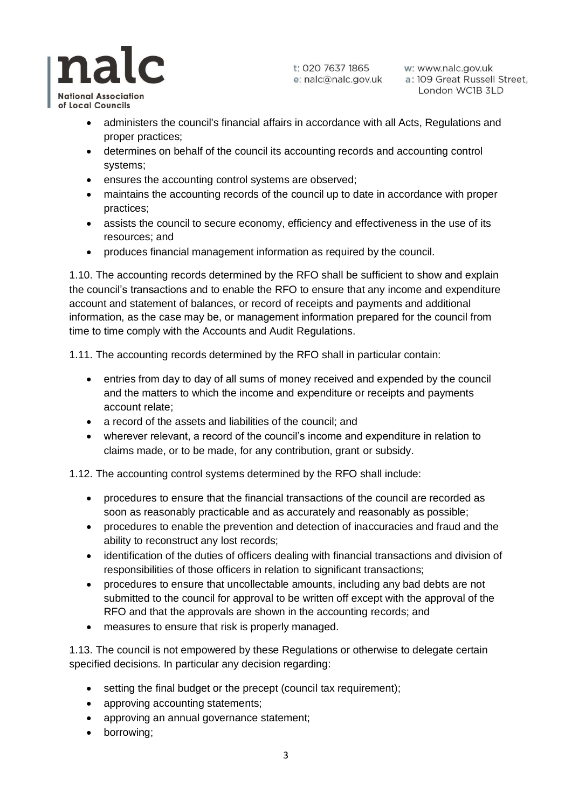w: www.nalc.gov.uk a: 109 Great Russell Street, London WC1B 3LD

**National Association** of Local Councils

nalc

- administers the council's financial affairs in accordance with all Acts, Regulations and proper practices;
- determines on behalf of the council its accounting records and accounting control systems;
- ensures the accounting control systems are observed;
- maintains the accounting records of the council up to date in accordance with proper practices;
- assists the council to secure economy, efficiency and effectiveness in the use of its resources; and
- produces financial management information as required by the council.

1.10. The accounting records determined by the RFO shall be sufficient to show and explain the council's transactions and to enable the RFO to ensure that any income and expenditure account and statement of balances, or record of receipts and payments and additional information, as the case may be, or management information prepared for the council from time to time comply with the Accounts and Audit Regulations.

1.11. The accounting records determined by the RFO shall in particular contain:

- entries from day to day of all sums of money received and expended by the council and the matters to which the income and expenditure or receipts and payments account relate;
- a record of the assets and liabilities of the council; and
- wherever relevant, a record of the council's income and expenditure in relation to claims made, or to be made, for any contribution, grant or subsidy.

1.12. The accounting control systems determined by the RFO shall include:

- procedures to ensure that the financial transactions of the council are recorded as soon as reasonably practicable and as accurately and reasonably as possible;
- procedures to enable the prevention and detection of inaccuracies and fraud and the ability to reconstruct any lost records;
- identification of the duties of officers dealing with financial transactions and division of responsibilities of those officers in relation to significant transactions;
- procedures to ensure that uncollectable amounts, including any bad debts are not submitted to the council for approval to be written off except with the approval of the RFO and that the approvals are shown in the accounting records; and
- measures to ensure that risk is properly managed.

1.13. The council is not empowered by these Regulations or otherwise to delegate certain specified decisions. In particular any decision regarding:

- setting the final budget or the precept (council tax requirement);
- approving accounting statements:
- approving an annual governance statement;
- borrowing;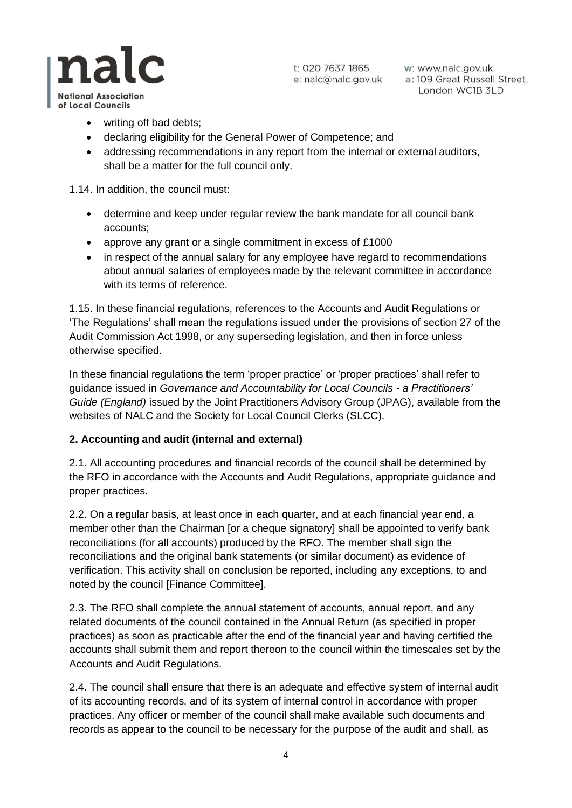

w: www.nalc.gov.uk a: 109 Great Russell Street, London WC1B 3LD

**National Association** of Local Councils

nalc

- writing off bad debts:
- declaring eligibility for the General Power of Competence; and
- addressing recommendations in any report from the internal or external auditors, shall be a matter for the full council only.

1.14. In addition, the council must:

- determine and keep under regular review the bank mandate for all council bank accounts;
- approve any grant or a single commitment in excess of £1000
- in respect of the annual salary for any employee have regard to recommendations about annual salaries of employees made by the relevant committee in accordance with its terms of reference.

1.15. In these financial regulations, references to the Accounts and Audit Regulations or 'The Regulations' shall mean the regulations issued under the provisions of section 27 of the Audit Commission Act 1998, or any superseding legislation, and then in force unless otherwise specified.

In these financial regulations the term 'proper practice' or 'proper practices' shall refer to guidance issued in *Governance and Accountability for Local Councils - a Practitioners' Guide (England)* issued by the Joint Practitioners Advisory Group (JPAG), available from the websites of NALC and the Society for Local Council Clerks (SLCC).

## **2. Accounting and audit (internal and external)**

2.1. All accounting procedures and financial records of the council shall be determined by the RFO in accordance with the Accounts and Audit Regulations, appropriate guidance and proper practices.

2.2. On a regular basis, at least once in each quarter, and at each financial year end, a member other than the Chairman [or a cheque signatory] shall be appointed to verify bank reconciliations (for all accounts) produced by the RFO. The member shall sign the reconciliations and the original bank statements (or similar document) as evidence of verification. This activity shall on conclusion be reported, including any exceptions, to and noted by the council [Finance Committee].

2.3. The RFO shall complete the annual statement of accounts, annual report, and any related documents of the council contained in the Annual Return (as specified in proper practices) as soon as practicable after the end of the financial year and having certified the accounts shall submit them and report thereon to the council within the timescales set by the Accounts and Audit Regulations.

2.4. The council shall ensure that there is an adequate and effective system of internal audit of its accounting records, and of its system of internal control in accordance with proper practices. Any officer or member of the council shall make available such documents and records as appear to the council to be necessary for the purpose of the audit and shall, as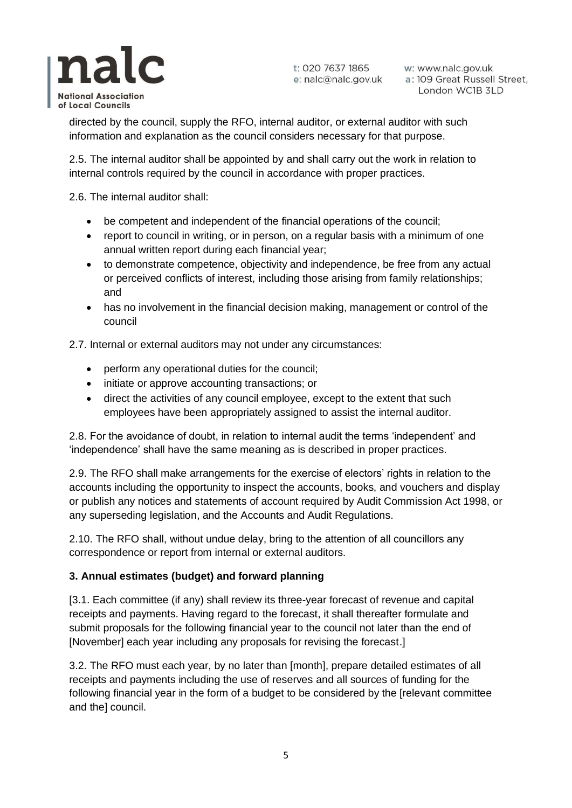

w: www.nalc.gov.uk a: 109 Great Russell Street, London WC1B 3LD

directed by the council, supply the RFO, internal auditor, or external auditor with such information and explanation as the council considers necessary for that purpose.

2.5. The internal auditor shall be appointed by and shall carry out the work in relation to internal controls required by the council in accordance with proper practices.

2.6. The internal auditor shall:

- be competent and independent of the financial operations of the council;
- report to council in writing, or in person, on a regular basis with a minimum of one annual written report during each financial year;
- to demonstrate competence, objectivity and independence, be free from any actual or perceived conflicts of interest, including those arising from family relationships; and
- has no involvement in the financial decision making, management or control of the council

2.7. Internal or external auditors may not under any circumstances:

- perform any operational duties for the council;
- initiate or approve accounting transactions; or
- direct the activities of any council employee, except to the extent that such employees have been appropriately assigned to assist the internal auditor.

2.8. For the avoidance of doubt, in relation to internal audit the terms 'independent' and 'independence' shall have the same meaning as is described in proper practices.

2.9. The RFO shall make arrangements for the exercise of electors' rights in relation to the accounts including the opportunity to inspect the accounts, books, and vouchers and display or publish any notices and statements of account required by Audit Commission Act 1998, or any superseding legislation, and the Accounts and Audit Regulations.

2.10. The RFO shall, without undue delay, bring to the attention of all councillors any correspondence or report from internal or external auditors.

## **3. Annual estimates (budget) and forward planning**

[3.1. Each committee (if any) shall review its three-year forecast of revenue and capital receipts and payments. Having regard to the forecast, it shall thereafter formulate and submit proposals for the following financial year to the council not later than the end of [November] each year including any proposals for revising the forecast.]

3.2. The RFO must each year, by no later than [month], prepare detailed estimates of all receipts and payments including the use of reserves and all sources of funding for the following financial year in the form of a budget to be considered by the [relevant committee and the] council.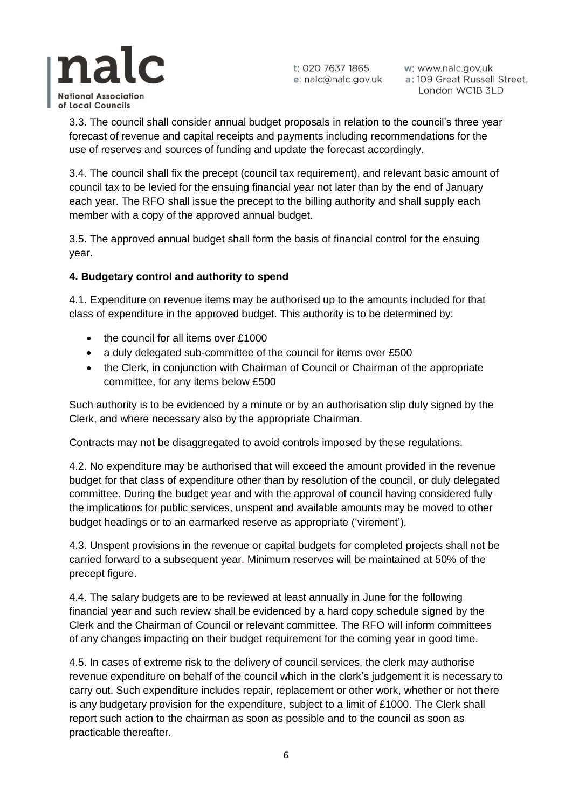

w: www.nalc.gov.uk a: 109 Great Russell Street, London WC1B 3LD

3.3. The council shall consider annual budget proposals in relation to the council's three year forecast of revenue and capital receipts and payments including recommendations for the use of reserves and sources of funding and update the forecast accordingly.

3.4. The council shall fix the precept (council tax requirement), and relevant basic amount of council tax to be levied for the ensuing financial year not later than by the end of January each year. The RFO shall issue the precept to the billing authority and shall supply each member with a copy of the approved annual budget.

3.5. The approved annual budget shall form the basis of financial control for the ensuing year.

## **4. Budgetary control and authority to spend**

4.1. Expenditure on revenue items may be authorised up to the amounts included for that class of expenditure in the approved budget. This authority is to be determined by:

- the council for all items over £1000
- a duly delegated sub-committee of the council for items over £500
- the Clerk, in conjunction with Chairman of Council or Chairman of the appropriate committee, for any items below £500

Such authority is to be evidenced by a minute or by an authorisation slip duly signed by the Clerk, and where necessary also by the appropriate Chairman.

Contracts may not be disaggregated to avoid controls imposed by these regulations.

4.2. No expenditure may be authorised that will exceed the amount provided in the revenue budget for that class of expenditure other than by resolution of the council, or duly delegated committee. During the budget year and with the approval of council having considered fully the implications for public services, unspent and available amounts may be moved to other budget headings or to an earmarked reserve as appropriate ('virement').

4.3. Unspent provisions in the revenue or capital budgets for completed projects shall not be carried forward to a subsequent year. Minimum reserves will be maintained at 50% of the precept figure.

4.4. The salary budgets are to be reviewed at least annually in June for the following financial year and such review shall be evidenced by a hard copy schedule signed by the Clerk and the Chairman of Council or relevant committee. The RFO will inform committees of any changes impacting on their budget requirement for the coming year in good time.

4.5. In cases of extreme risk to the delivery of council services, the clerk may authorise revenue expenditure on behalf of the council which in the clerk's judgement it is necessary to carry out. Such expenditure includes repair, replacement or other work, whether or not there is any budgetary provision for the expenditure, subject to a limit of £1000. The Clerk shall report such action to the chairman as soon as possible and to the council as soon as practicable thereafter.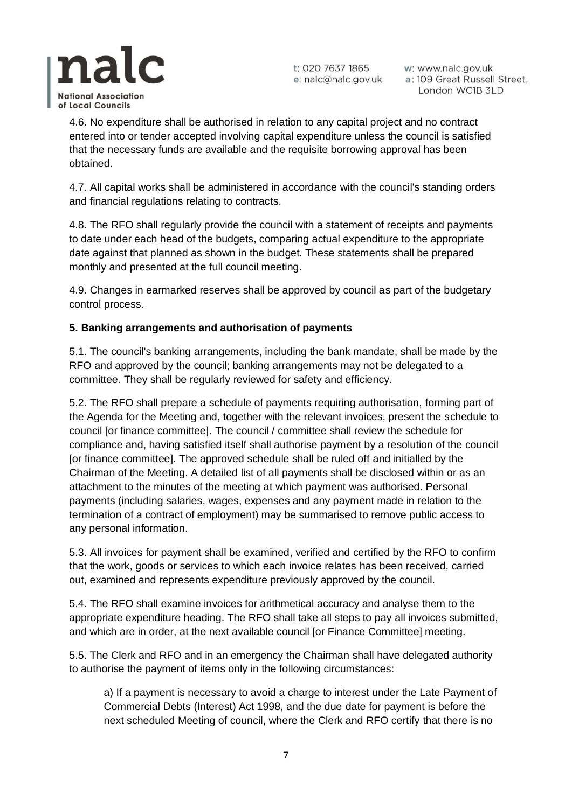

w: www.nalc.gov.uk a: 109 Great Russell Street, London WC1B 3LD

4.6. No expenditure shall be authorised in relation to any capital project and no contract entered into or tender accepted involving capital expenditure unless the council is satisfied that the necessary funds are available and the requisite borrowing approval has been obtained.

4.7. All capital works shall be administered in accordance with the council's standing orders and financial regulations relating to contracts.

4.8. The RFO shall regularly provide the council with a statement of receipts and payments to date under each head of the budgets, comparing actual expenditure to the appropriate date against that planned as shown in the budget. These statements shall be prepared monthly and presented at the full council meeting.

4.9. Changes in earmarked reserves shall be approved by council as part of the budgetary control process.

## **5. Banking arrangements and authorisation of payments**

5.1. The council's banking arrangements, including the bank mandate, shall be made by the RFO and approved by the council; banking arrangements may not be delegated to a committee. They shall be regularly reviewed for safety and efficiency.

5.2. The RFO shall prepare a schedule of payments requiring authorisation, forming part of the Agenda for the Meeting and, together with the relevant invoices, present the schedule to council [or finance committee]. The council / committee shall review the schedule for compliance and, having satisfied itself shall authorise payment by a resolution of the council [or finance committee]. The approved schedule shall be ruled off and initialled by the Chairman of the Meeting. A detailed list of all payments shall be disclosed within or as an attachment to the minutes of the meeting at which payment was authorised. Personal payments (including salaries, wages, expenses and any payment made in relation to the termination of a contract of employment) may be summarised to remove public access to any personal information.

5.3. All invoices for payment shall be examined, verified and certified by the RFO to confirm that the work, goods or services to which each invoice relates has been received, carried out, examined and represents expenditure previously approved by the council.

5.4. The RFO shall examine invoices for arithmetical accuracy and analyse them to the appropriate expenditure heading. The RFO shall take all steps to pay all invoices submitted, and which are in order, at the next available council [or Finance Committee] meeting.

5.5. The Clerk and RFO and in an emergency the Chairman shall have delegated authority to authorise the payment of items only in the following circumstances:

a) If a payment is necessary to avoid a charge to interest under the Late Payment of Commercial Debts (Interest) Act 1998, and the due date for payment is before the next scheduled Meeting of council, where the Clerk and RFO certify that there is no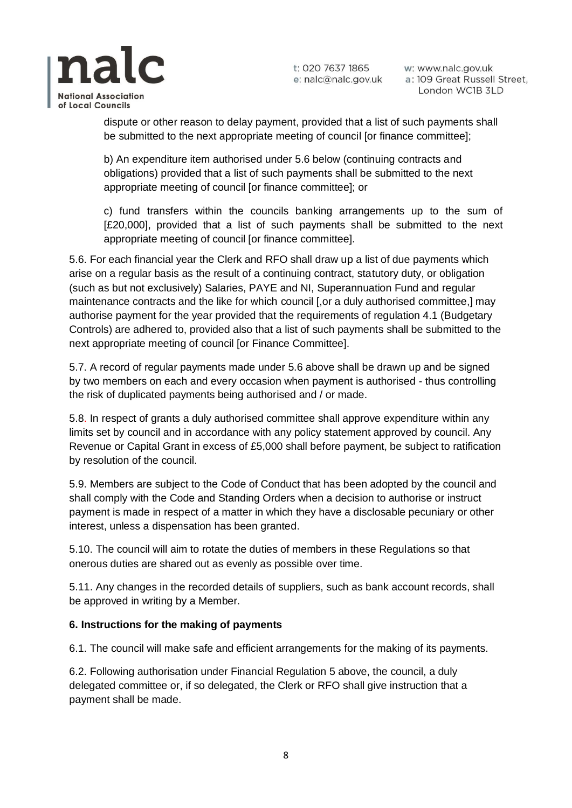

w: www.nalc.gov.uk a: 109 Great Russell Street, London WC1B 3LD

dispute or other reason to delay payment, provided that a list of such payments shall be submitted to the next appropriate meeting of council [or finance committee];

b) An expenditure item authorised under 5.6 below (continuing contracts and obligations) provided that a list of such payments shall be submitted to the next appropriate meeting of council [or finance committee]; or

c) fund transfers within the councils banking arrangements up to the sum of [£20,000], provided that a list of such payments shall be submitted to the next appropriate meeting of council [or finance committee].

5.6. For each financial year the Clerk and RFO shall draw up a list of due payments which arise on a regular basis as the result of a continuing contract, statutory duty, or obligation (such as but not exclusively) Salaries, PAYE and NI, Superannuation Fund and regular maintenance contracts and the like for which council [,or a duly authorised committee,] may authorise payment for the year provided that the requirements of regulation 4.1 (Budgetary Controls) are adhered to, provided also that a list of such payments shall be submitted to the next appropriate meeting of council [or Finance Committee].

5.7. A record of regular payments made under 5.6 above shall be drawn up and be signed by two members on each and every occasion when payment is authorised - thus controlling the risk of duplicated payments being authorised and / or made.

5.8. In respect of grants a duly authorised committee shall approve expenditure within any limits set by council and in accordance with any policy statement approved by council. Any Revenue or Capital Grant in excess of £5,000 shall before payment, be subject to ratification by resolution of the council.

5.9. Members are subject to the Code of Conduct that has been adopted by the council and shall comply with the Code and Standing Orders when a decision to authorise or instruct payment is made in respect of a matter in which they have a disclosable pecuniary or other interest, unless a dispensation has been granted.

5.10. The council will aim to rotate the duties of members in these Regulations so that onerous duties are shared out as evenly as possible over time.

5.11. Any changes in the recorded details of suppliers, such as bank account records, shall be approved in writing by a Member.

## **6. Instructions for the making of payments**

6.1. The council will make safe and efficient arrangements for the making of its payments.

6.2. Following authorisation under Financial Regulation 5 above, the council, a duly delegated committee or, if so delegated, the Clerk or RFO shall give instruction that a payment shall be made.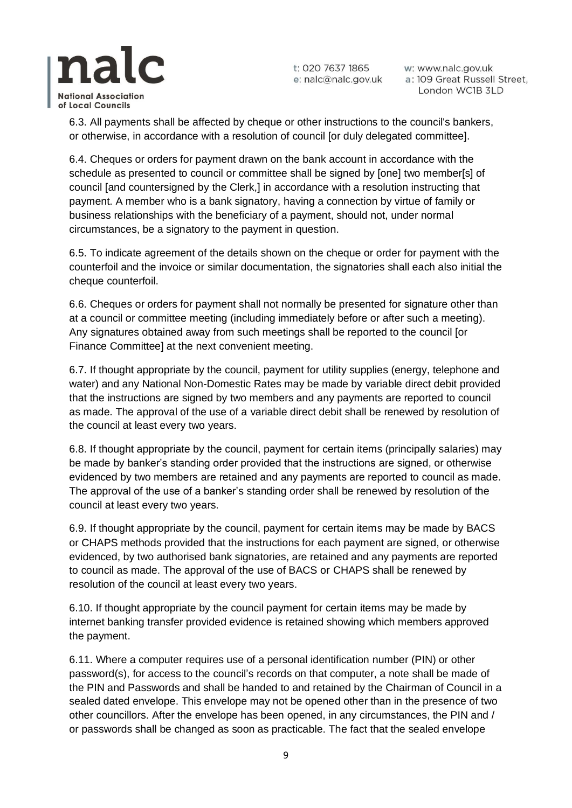

w: www.nalc.gov.uk a: 109 Great Russell Street, London WC1B 3LD

6.3. All payments shall be affected by cheque or other instructions to the council's bankers, or otherwise, in accordance with a resolution of council [or duly delegated committee].

6.4. Cheques or orders for payment drawn on the bank account in accordance with the schedule as presented to council or committee shall be signed by [one] two member[s] of council [and countersigned by the Clerk,] in accordance with a resolution instructing that payment. A member who is a bank signatory, having a connection by virtue of family or business relationships with the beneficiary of a payment, should not, under normal circumstances, be a signatory to the payment in question.

6.5. To indicate agreement of the details shown on the cheque or order for payment with the counterfoil and the invoice or similar documentation, the signatories shall each also initial the cheque counterfoil.

6.6. Cheques or orders for payment shall not normally be presented for signature other than at a council or committee meeting (including immediately before or after such a meeting). Any signatures obtained away from such meetings shall be reported to the council [or Finance Committee] at the next convenient meeting.

6.7. If thought appropriate by the council, payment for utility supplies (energy, telephone and water) and any National Non-Domestic Rates may be made by variable direct debit provided that the instructions are signed by two members and any payments are reported to council as made. The approval of the use of a variable direct debit shall be renewed by resolution of the council at least every two years.

6.8. If thought appropriate by the council, payment for certain items (principally salaries) may be made by banker's standing order provided that the instructions are signed, or otherwise evidenced by two members are retained and any payments are reported to council as made. The approval of the use of a banker's standing order shall be renewed by resolution of the council at least every two years.

6.9. If thought appropriate by the council, payment for certain items may be made by BACS or CHAPS methods provided that the instructions for each payment are signed, or otherwise evidenced, by two authorised bank signatories, are retained and any payments are reported to council as made. The approval of the use of BACS or CHAPS shall be renewed by resolution of the council at least every two years.

6.10. If thought appropriate by the council payment for certain items may be made by internet banking transfer provided evidence is retained showing which members approved the payment.

6.11. Where a computer requires use of a personal identification number (PIN) or other password(s), for access to the council's records on that computer, a note shall be made of the PIN and Passwords and shall be handed to and retained by the Chairman of Council in a sealed dated envelope. This envelope may not be opened other than in the presence of two other councillors. After the envelope has been opened, in any circumstances, the PIN and / or passwords shall be changed as soon as practicable. The fact that the sealed envelope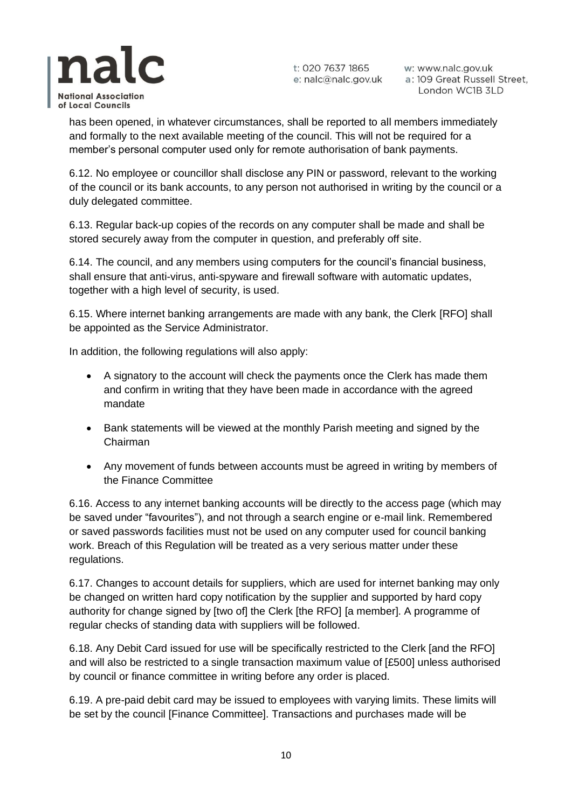

w: www.nalc.gov.uk a: 109 Great Russell Street, London WC1B 3LD

has been opened, in whatever circumstances, shall be reported to all members immediately and formally to the next available meeting of the council. This will not be required for a member's personal computer used only for remote authorisation of bank payments.

6.12. No employee or councillor shall disclose any PIN or password, relevant to the working of the council or its bank accounts, to any person not authorised in writing by the council or a duly delegated committee.

6.13. Regular back-up copies of the records on any computer shall be made and shall be stored securely away from the computer in question, and preferably off site.

6.14. The council, and any members using computers for the council's financial business, shall ensure that anti-virus, anti-spyware and firewall software with automatic updates, together with a high level of security, is used.

6.15. Where internet banking arrangements are made with any bank, the Clerk [RFO] shall be appointed as the Service Administrator.

In addition, the following regulations will also apply:

- A signatory to the account will check the payments once the Clerk has made them and confirm in writing that they have been made in accordance with the agreed mandate
- Bank statements will be viewed at the monthly Parish meeting and signed by the Chairman
- Any movement of funds between accounts must be agreed in writing by members of the Finance Committee

6.16. Access to any internet banking accounts will be directly to the access page (which may be saved under "favourites"), and not through a search engine or e-mail link. Remembered or saved passwords facilities must not be used on any computer used for council banking work. Breach of this Regulation will be treated as a very serious matter under these regulations.

6.17. Changes to account details for suppliers, which are used for internet banking may only be changed on written hard copy notification by the supplier and supported by hard copy authority for change signed by [two of] the Clerk [the RFO] [a member]. A programme of regular checks of standing data with suppliers will be followed.

6.18. Any Debit Card issued for use will be specifically restricted to the Clerk [and the RFO] and will also be restricted to a single transaction maximum value of [£500] unless authorised by council or finance committee in writing before any order is placed.

6.19. A pre-paid debit card may be issued to employees with varying limits. These limits will be set by the council [Finance Committee]. Transactions and purchases made will be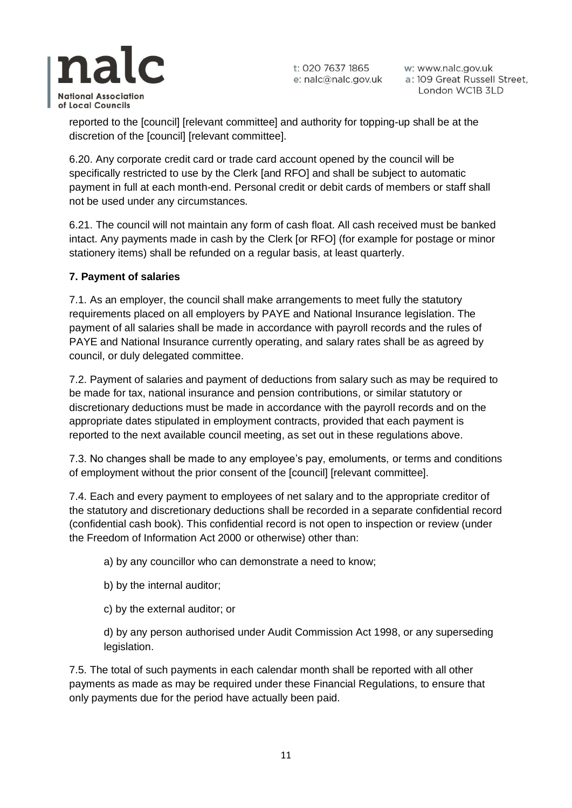

w: www.nalc.gov.uk a: 109 Great Russell Street, London WC1B 3LD

reported to the [council] [relevant committee] and authority for topping-up shall be at the discretion of the [council] [relevant committee].

6.20. Any corporate credit card or trade card account opened by the council will be specifically restricted to use by the Clerk [and RFO] and shall be subject to automatic payment in full at each month-end. Personal credit or debit cards of members or staff shall not be used under any circumstances.

6.21. The council will not maintain any form of cash float. All cash received must be banked intact. Any payments made in cash by the Clerk [or RFO] (for example for postage or minor stationery items) shall be refunded on a regular basis, at least quarterly.

#### **7. Payment of salaries**

7.1. As an employer, the council shall make arrangements to meet fully the statutory requirements placed on all employers by PAYE and National Insurance legislation. The payment of all salaries shall be made in accordance with payroll records and the rules of PAYE and National Insurance currently operating, and salary rates shall be as agreed by council, or duly delegated committee.

7.2. Payment of salaries and payment of deductions from salary such as may be required to be made for tax, national insurance and pension contributions, or similar statutory or discretionary deductions must be made in accordance with the payroll records and on the appropriate dates stipulated in employment contracts, provided that each payment is reported to the next available council meeting, as set out in these regulations above.

7.3. No changes shall be made to any employee's pay, emoluments, or terms and conditions of employment without the prior consent of the [council] [relevant committee].

7.4. Each and every payment to employees of net salary and to the appropriate creditor of the statutory and discretionary deductions shall be recorded in a separate confidential record (confidential cash book). This confidential record is not open to inspection or review (under the Freedom of Information Act 2000 or otherwise) other than:

a) by any councillor who can demonstrate a need to know;

- b) by the internal auditor;
- c) by the external auditor; or

d) by any person authorised under Audit Commission Act 1998, or any superseding legislation.

7.5. The total of such payments in each calendar month shall be reported with all other payments as made as may be required under these Financial Regulations, to ensure that only payments due for the period have actually been paid.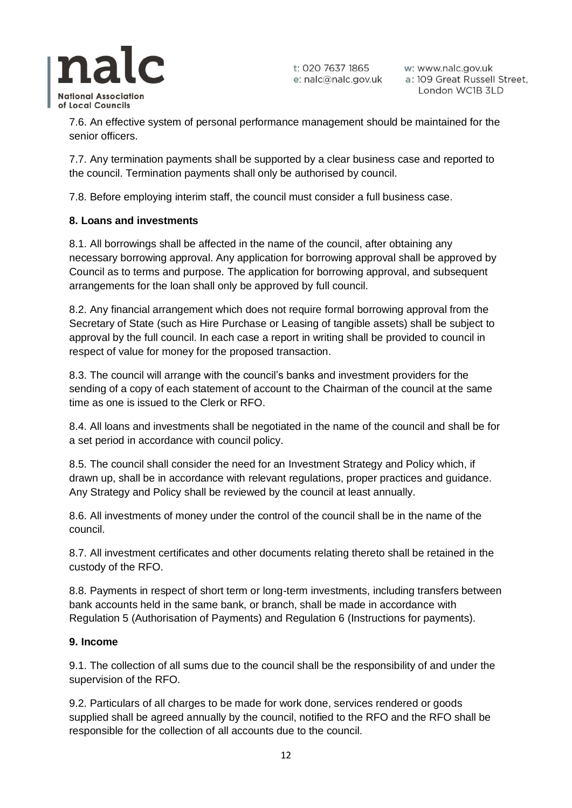

w: www.nalc.gov.uk a: 109 Great Russell Street, London WC1B 3LD

7.6. An effective system of personal performance management should be maintained for the senior officers.

7.7. Any termination payments shall be supported by a clear business case and reported to the council. Termination payments shall only be authorised by council.

7.8. Before employing interim staff, the council must consider a full business case.

#### **8. Loans and investments**

8.1. All borrowings shall be affected in the name of the council, after obtaining any necessary borrowing approval. Any application for borrowing approval shall be approved by Council as to terms and purpose. The application for borrowing approval, and subsequent arrangements for the loan shall only be approved by full council.

8.2. Any financial arrangement which does not require formal borrowing approval from the Secretary of State (such as Hire Purchase or Leasing of tangible assets) shall be subject to approval by the full council. In each case a report in writing shall be provided to council in respect of value for money for the proposed transaction.

8.3. The council will arrange with the council's banks and investment providers for the sending of a copy of each statement of account to the Chairman of the council at the same time as one is issued to the Clerk or RFO.

8.4. All loans and investments shall be negotiated in the name of the council and shall be for a set period in accordance with council policy.

8.5. The council shall consider the need for an Investment Strategy and Policy which, if drawn up, shall be in accordance with relevant regulations, proper practices and guidance. Any Strategy and Policy shall be reviewed by the council at least annually.

8.6. All investments of money under the control of the council shall be in the name of the council.

8.7. All investment certificates and other documents relating thereto shall be retained in the custody of the RFO.

8.8. Payments in respect of short term or long-term investments, including transfers between bank accounts held in the same bank, or branch, shall be made in accordance with Regulation 5 (Authorisation of Payments) and Regulation 6 (Instructions for payments).

#### **9. Income**

9.1. The collection of all sums due to the council shall be the responsibility of and under the supervision of the RFO.

9.2. Particulars of all charges to be made for work done, services rendered or goods supplied shall be agreed annually by the council, notified to the RFO and the RFO shall be responsible for the collection of all accounts due to the council.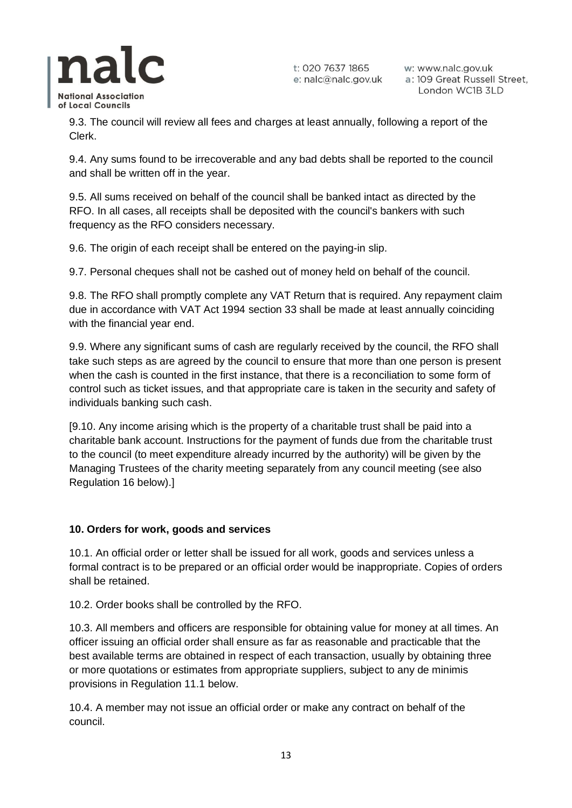

w: www.nalc.gov.uk a: 109 Great Russell Street, London WC1B 3LD

9.3. The council will review all fees and charges at least annually, following a report of the Clerk.

9.4. Any sums found to be irrecoverable and any bad debts shall be reported to the council and shall be written off in the year.

9.5. All sums received on behalf of the council shall be banked intact as directed by the RFO. In all cases, all receipts shall be deposited with the council's bankers with such frequency as the RFO considers necessary.

9.6. The origin of each receipt shall be entered on the paying-in slip.

9.7. Personal cheques shall not be cashed out of money held on behalf of the council.

9.8. The RFO shall promptly complete any VAT Return that is required. Any repayment claim due in accordance with VAT Act 1994 section 33 shall be made at least annually coinciding with the financial year end.

9.9. Where any significant sums of cash are regularly received by the council, the RFO shall take such steps as are agreed by the council to ensure that more than one person is present when the cash is counted in the first instance, that there is a reconciliation to some form of control such as ticket issues, and that appropriate care is taken in the security and safety of individuals banking such cash.

[9.10. Any income arising which is the property of a charitable trust shall be paid into a charitable bank account. Instructions for the payment of funds due from the charitable trust to the council (to meet expenditure already incurred by the authority) will be given by the Managing Trustees of the charity meeting separately from any council meeting (see also Regulation 16 below).]

## **10. Orders for work, goods and services**

10.1. An official order or letter shall be issued for all work, goods and services unless a formal contract is to be prepared or an official order would be inappropriate. Copies of orders shall be retained.

10.2. Order books shall be controlled by the RFO.

10.3. All members and officers are responsible for obtaining value for money at all times. An officer issuing an official order shall ensure as far as reasonable and practicable that the best available terms are obtained in respect of each transaction, usually by obtaining three or more quotations or estimates from appropriate suppliers, subject to any de minimis provisions in Regulation 11.1 below.

10.4. A member may not issue an official order or make any contract on behalf of the council.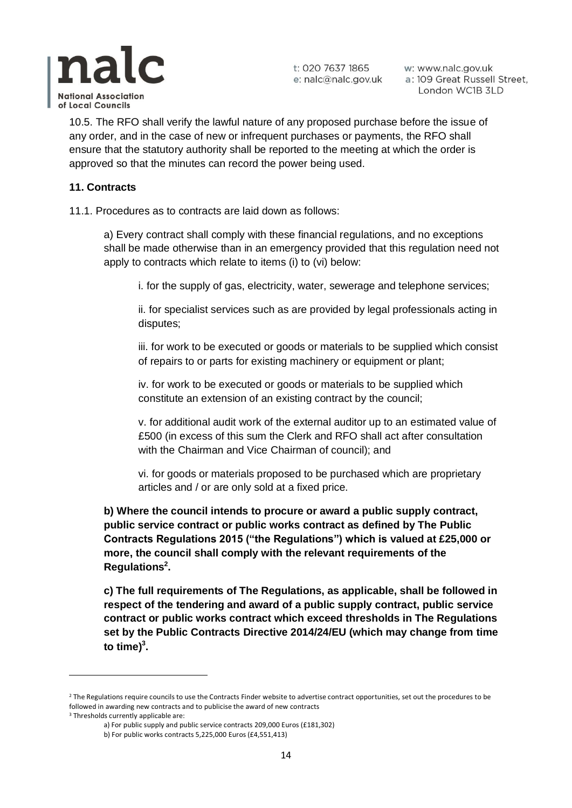

w: www.nalc.gov.uk a: 109 Great Russell Street, London WC1B 3LD

10.5. The RFO shall verify the lawful nature of any proposed purchase before the issue of any order, and in the case of new or infrequent purchases or payments, the RFO shall ensure that the statutory authority shall be reported to the meeting at which the order is approved so that the minutes can record the power being used.

#### **11. Contracts**

11.1. Procedures as to contracts are laid down as follows:

a) Every contract shall comply with these financial regulations, and no exceptions shall be made otherwise than in an emergency provided that this regulation need not apply to contracts which relate to items (i) to (vi) below:

i. for the supply of gas, electricity, water, sewerage and telephone services;

ii. for specialist services such as are provided by legal professionals acting in disputes;

iii. for work to be executed or goods or materials to be supplied which consist of repairs to or parts for existing machinery or equipment or plant;

iv. for work to be executed or goods or materials to be supplied which constitute an extension of an existing contract by the council;

v. for additional audit work of the external auditor up to an estimated value of £500 (in excess of this sum the Clerk and RFO shall act after consultation with the Chairman and Vice Chairman of council); and

vi. for goods or materials proposed to be purchased which are proprietary articles and / or are only sold at a fixed price.

**b) Where the council intends to procure or award a public supply contract, public service contract or public works contract as defined by The Public Contracts Regulations 2015 ("the Regulations") which is valued at £25,000 or more, the council shall comply with the relevant requirements of the Regulations<sup>2</sup> .**

**c) The full requirements of The Regulations, as applicable, shall be followed in respect of the tendering and award of a public supply contract, public service contract or public works contract which exceed thresholds in The Regulations set by the Public Contracts Directive 2014/24/EU (which may change from time**  to time)<sup>3</sup>.

<sup>&</sup>lt;sup>2</sup> The Regulations require councils to use the Contracts Finder website to advertise contract opportunities, set out the procedures to be followed in awarding new contracts and to publicise the award of new contracts

<sup>&</sup>lt;sup>3</sup> Thresholds currently applicable are:

a) For public supply and public service contracts 209,000 Euros (£181,302)

b) For public works contracts 5,225,000 Euros (£4,551,413)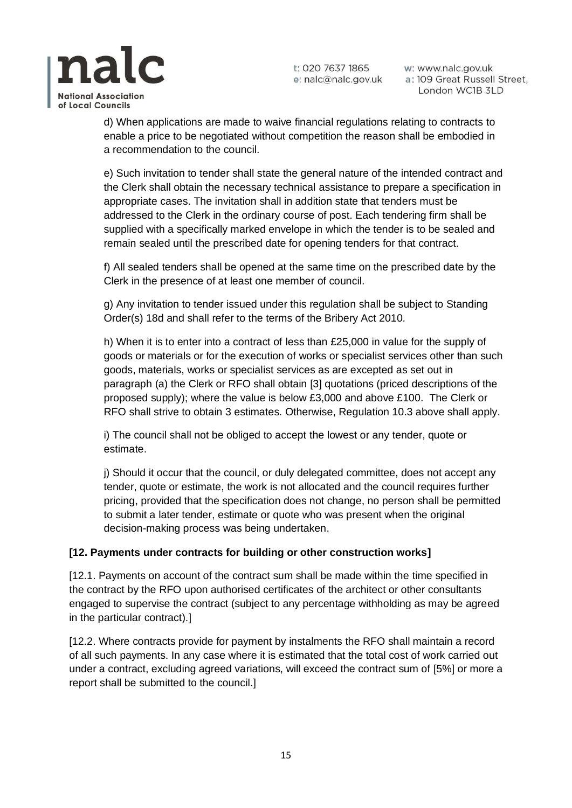

w: www.nalc.gov.uk a: 109 Great Russell Street, London WC1B 3LD



d) When applications are made to waive financial regulations relating to contracts to enable a price to be negotiated without competition the reason shall be embodied in a recommendation to the council.

e) Such invitation to tender shall state the general nature of the intended contract and the Clerk shall obtain the necessary technical assistance to prepare a specification in appropriate cases. The invitation shall in addition state that tenders must be addressed to the Clerk in the ordinary course of post. Each tendering firm shall be supplied with a specifically marked envelope in which the tender is to be sealed and remain sealed until the prescribed date for opening tenders for that contract.

f) All sealed tenders shall be opened at the same time on the prescribed date by the Clerk in the presence of at least one member of council.

g) Any invitation to tender issued under this regulation shall be subject to Standing Order(s) 18d and shall refer to the terms of the Bribery Act 2010.

h) When it is to enter into a contract of less than £25,000 in value for the supply of goods or materials or for the execution of works or specialist services other than such goods, materials, works or specialist services as are excepted as set out in paragraph (a) the Clerk or RFO shall obtain [3] quotations (priced descriptions of the proposed supply); where the value is below £3,000 and above £100. The Clerk or RFO shall strive to obtain 3 estimates. Otherwise, Regulation 10.3 above shall apply.

i) The council shall not be obliged to accept the lowest or any tender, quote or estimate.

j) Should it occur that the council, or duly delegated committee, does not accept any tender, quote or estimate, the work is not allocated and the council requires further pricing, provided that the specification does not change, no person shall be permitted to submit a later tender, estimate or quote who was present when the original decision-making process was being undertaken.

## **[12. Payments under contracts for building or other construction works]**

[12.1. Payments on account of the contract sum shall be made within the time specified in the contract by the RFO upon authorised certificates of the architect or other consultants engaged to supervise the contract (subject to any percentage withholding as may be agreed in the particular contract).]

[12.2. Where contracts provide for payment by instalments the RFO shall maintain a record of all such payments. In any case where it is estimated that the total cost of work carried out under a contract, excluding agreed variations, will exceed the contract sum of [5%] or more a report shall be submitted to the council.]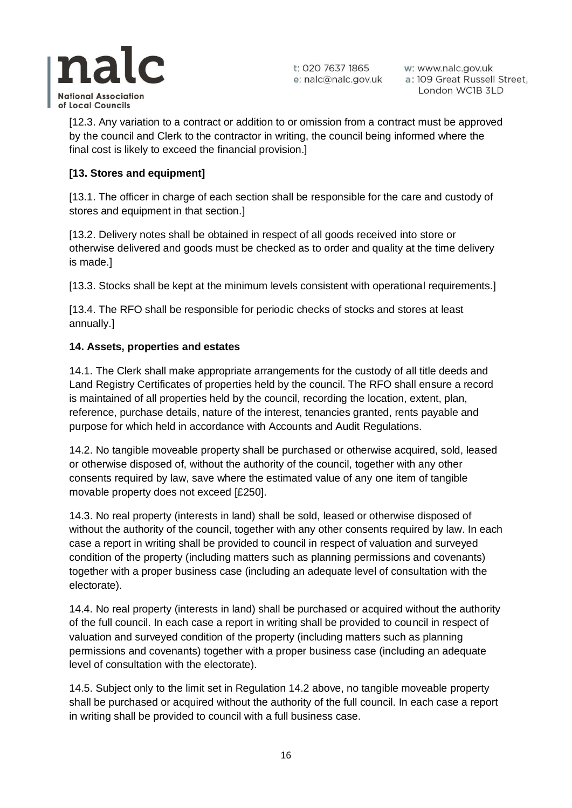

w: www.nalc.gov.uk a: 109 Great Russell Street, London WC1B 3LD

[12.3. Any variation to a contract or addition to or omission from a contract must be approved by the council and Clerk to the contractor in writing, the council being informed where the final cost is likely to exceed the financial provision.]

## **[13. Stores and equipment]**

[13.1. The officer in charge of each section shall be responsible for the care and custody of stores and equipment in that section.]

[13.2. Delivery notes shall be obtained in respect of all goods received into store or otherwise delivered and goods must be checked as to order and quality at the time delivery is made.]

[13.3. Stocks shall be kept at the minimum levels consistent with operational requirements.]

[13.4. The RFO shall be responsible for periodic checks of stocks and stores at least annually.]

## **14. Assets, properties and estates**

14.1. The Clerk shall make appropriate arrangements for the custody of all title deeds and Land Registry Certificates of properties held by the council. The RFO shall ensure a record is maintained of all properties held by the council, recording the location, extent, plan, reference, purchase details, nature of the interest, tenancies granted, rents payable and purpose for which held in accordance with Accounts and Audit Regulations.

14.2. No tangible moveable property shall be purchased or otherwise acquired, sold, leased or otherwise disposed of, without the authority of the council, together with any other consents required by law, save where the estimated value of any one item of tangible movable property does not exceed [£250].

14.3. No real property (interests in land) shall be sold, leased or otherwise disposed of without the authority of the council, together with any other consents required by law. In each case a report in writing shall be provided to council in respect of valuation and surveyed condition of the property (including matters such as planning permissions and covenants) together with a proper business case (including an adequate level of consultation with the electorate).

14.4. No real property (interests in land) shall be purchased or acquired without the authority of the full council. In each case a report in writing shall be provided to council in respect of valuation and surveyed condition of the property (including matters such as planning permissions and covenants) together with a proper business case (including an adequate level of consultation with the electorate).

14.5. Subject only to the limit set in Regulation 14.2 above, no tangible moveable property shall be purchased or acquired without the authority of the full council. In each case a report in writing shall be provided to council with a full business case.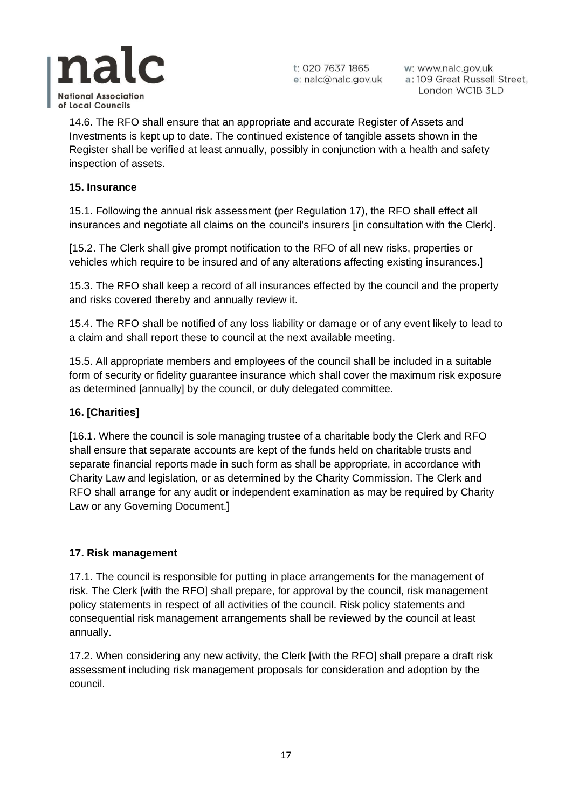

w: www.nalc.gov.uk a: 109 Great Russell Street, London WC1B 3LD

14.6. The RFO shall ensure that an appropriate and accurate Register of Assets and Investments is kept up to date. The continued existence of tangible assets shown in the Register shall be verified at least annually, possibly in conjunction with a health and safety inspection of assets.

## **15. Insurance**

15.1. Following the annual risk assessment (per Regulation 17), the RFO shall effect all insurances and negotiate all claims on the council's insurers [in consultation with the Clerk].

[15.2. The Clerk shall give prompt notification to the RFO of all new risks, properties or vehicles which require to be insured and of any alterations affecting existing insurances.]

15.3. The RFO shall keep a record of all insurances effected by the council and the property and risks covered thereby and annually review it.

15.4. The RFO shall be notified of any loss liability or damage or of any event likely to lead to a claim and shall report these to council at the next available meeting.

15.5. All appropriate members and employees of the council shall be included in a suitable form of security or fidelity guarantee insurance which shall cover the maximum risk exposure as determined [annually] by the council, or duly delegated committee.

## **16. [Charities]**

[16.1. Where the council is sole managing trustee of a charitable body the Clerk and RFO shall ensure that separate accounts are kept of the funds held on charitable trusts and separate financial reports made in such form as shall be appropriate, in accordance with Charity Law and legislation, or as determined by the Charity Commission. The Clerk and RFO shall arrange for any audit or independent examination as may be required by Charity Law or any Governing Document.]

## **17. Risk management**

17.1. The council is responsible for putting in place arrangements for the management of risk. The Clerk [with the RFO] shall prepare, for approval by the council, risk management policy statements in respect of all activities of the council. Risk policy statements and consequential risk management arrangements shall be reviewed by the council at least annually.

17.2. When considering any new activity, the Clerk [with the RFO] shall prepare a draft risk assessment including risk management proposals for consideration and adoption by the council.